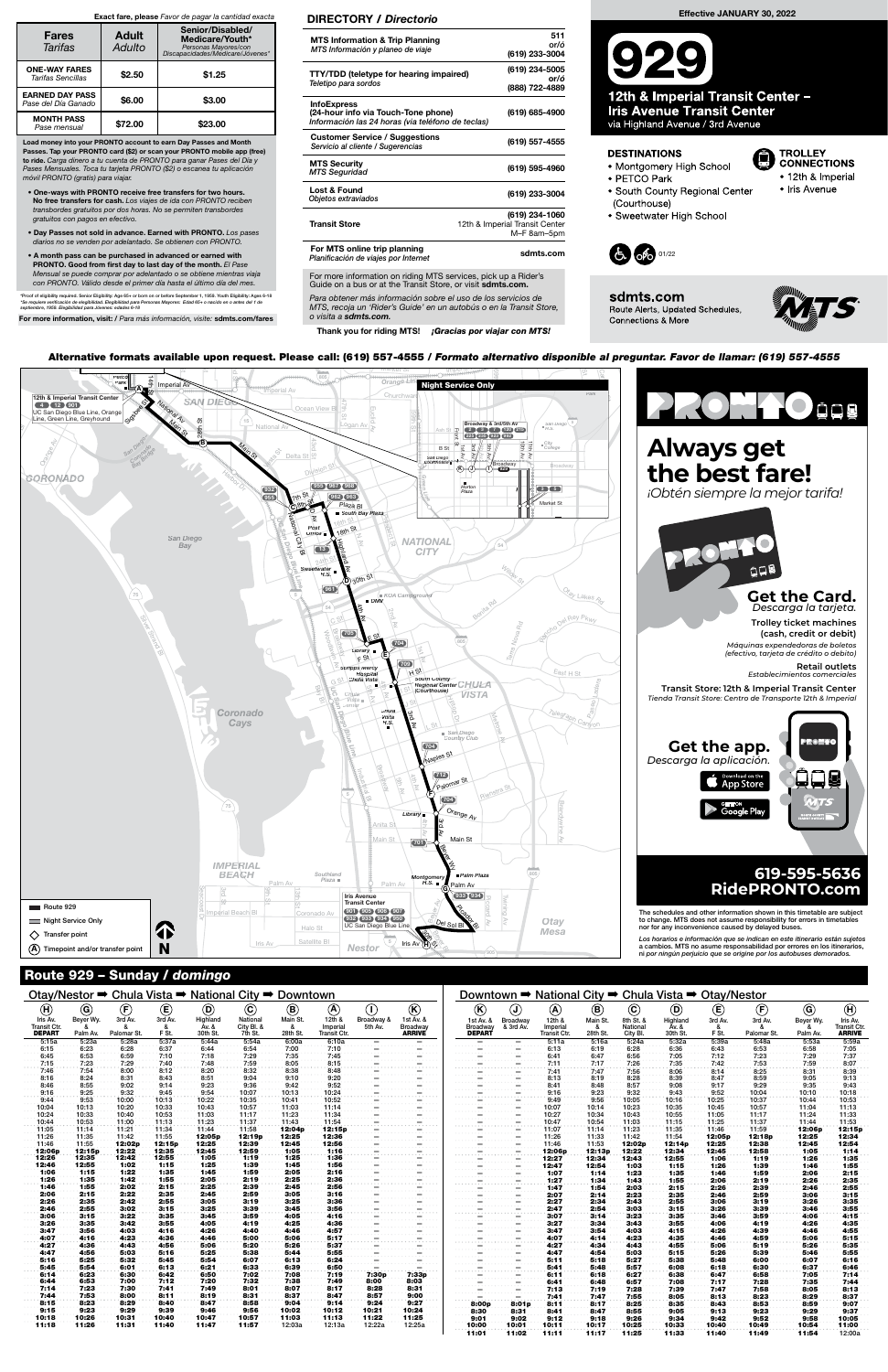### Route 929 – Sunday / domingo

c Hwative formats availal upon r s available upon request. Please call: (619) 557-4555 / Alternative formats available upon request. Please call: (619) 557-4555 / Formato alternativo disponible al preguntar. Favor de llamar: (619) 557-4555<br>Alternative formats available upon request. Please call: (619) 557-4555

For more information on riding MTS services, pick up a Rider's Guide on a bus or at the Transit Store, or visit sdmts.com.

Para obtener más información sobre el uso de los servicios de MTS, recoja un 'Rider's Guide' en un autobús o en la Transit Store, o visita a sdmts.com.

Thank you for riding MTS! ¡Gracias por viajar con MTS!



#### DIRECTORY / Directorio

| <b>MTS Information &amp; Trip Planning</b><br>MTS Información y planeo de viaje                                | 511<br>or/ó<br>(619) 233-3004                                   |
|----------------------------------------------------------------------------------------------------------------|-----------------------------------------------------------------|
| <b>TTY/TDD</b> (teletype for hearing impaired)<br>Teletipo para sordos                                         | (619) 234-5005<br>or/ó<br>(888) 722-4889                        |
| <b>InfoExpress</b><br>(24-hour info via Touch-Tone phone)<br>Información las 24 horas (via teléfono de teclas) | (619) 685-4900                                                  |
| <b>Customer Service / Suggestions</b><br>Servicio al cliente / Sugerencias                                     | (619) 557-4555                                                  |
| <b>MTS Security</b><br><b>MTS Seguridad</b>                                                                    | (619) 595-4960                                                  |
| Lost & Found<br>Objetos extraviados                                                                            | (619) 233-3004                                                  |
| <b>Transit Store</b>                                                                                           | (619) 234-1060<br>12th & Imperial Transit Center<br>M-F 8am-5pm |
| For MTS online trip planning<br>Planificación de viajes por Internet                                           | sdmts.com                                                       |

Load money into your PRONTO account to earn Day Passes and Month Passes. Tap your PRONTO card (\$2) or scan your PRONTO mobile app (free) to ride. Carga dinero a tu cuenta de PRONTO para ganar Pases del Día y Pases Mensuales. Toca tu tarjeta PRONTO (\$2) o escanea tu aplicación móvil PRONTO (gratis) para viajar.

- One-ways with PRONTO receive free transfers for two hours. No free transfers for cash. Los viajes de ida con PRONTO reciben transbordes gratuitos por dos horas. No se permiten transbordes gratuitos con pagos en efectivo.
- Day Passes not sold in advance. Earned with PRONTO. Los pases diarios no se venden por adelantado. Se obtienen con PRONTO.
- A month pass can be purchased in advanced or earned with PRONTO. Good from first day to last day of the month. El Pase Mensual se puede comprar por adelantado o se obtiene mientras viaja con PRONTO. Válido desde el primer día hasta el último día del mes.

\*Proof of eligibility required. Senior Eligibility: Age 65+ or born on or before September 1, 1959. Youth Eligibility: Ages 6-18<br>\*Se requiere verificación de elegibilidad. Elegibilidad para Personas Mayores: Edad 65+ o nac

For more information, visit: / Para más información, visite: sdmts.com/fares

#### Exact fare, please Favor de pagar la cantidad exacta

| <b>Fares</b><br>Tarifas                       | <b>Adult</b><br>Adulto | Senior/Disabled/<br>Medicare/Youth*<br>Personas Mayores/con<br>Discapacidades/Medicare/Jóvenes* |  |  |  |  |  |  |  |
|-----------------------------------------------|------------------------|-------------------------------------------------------------------------------------------------|--|--|--|--|--|--|--|
| <b>ONE-WAY FARES</b><br>Tarifas Sencillas     | \$2.50                 | \$1.25                                                                                          |  |  |  |  |  |  |  |
| <b>EARNED DAY PASS</b><br>Pase del Día Ganado | \$6.00                 | \$3.00                                                                                          |  |  |  |  |  |  |  |
| <b>MONTH PASS</b><br>Pase mensual             | \$72.00                | \$23.00                                                                                         |  |  |  |  |  |  |  |

# Effective JANUARY 30, 2022

12th & Imperial Transit Center -**Iris Avenue Transit Center** via Highland Avenue / 3rd Avenue

#### **DESTINATIONS**

- Montgomery High School
- · PETCO Park
- South County Regional Center
- (Courthouse) • Sweetwater High School







TROLLEY<br>CONNECTIONS

• 12th & Imperial

• Iris Avenue

Œ

Otay/Nestor ➡ Chula Vista ➡ National City ➡ Downtown

## Downtown ➡ National City ➡ Chula Vista ➡ Otay/Nestor

| (H)                 | (G)       | (F)         | $\mathbf \Theta$ | (D)      | $\circled{c}$ | (B)      | (A                  |                                 | (K)                                                                                                                                                                                                                                                                                                                                                                                                                                                                    | (K)                                                                                                                                                                                                                                                                                                                                                                                                                                                                                              | $\mathbf{J}$ | O)                  | ®        | $\mathbf{\mathbf{\mathfrak{C}}}$ | (D)      | Œ       | (F)         | $\left($ G | Œ                   |
|---------------------|-----------|-------------|------------------|----------|---------------|----------|---------------------|---------------------------------|------------------------------------------------------------------------------------------------------------------------------------------------------------------------------------------------------------------------------------------------------------------------------------------------------------------------------------------------------------------------------------------------------------------------------------------------------------------------|--------------------------------------------------------------------------------------------------------------------------------------------------------------------------------------------------------------------------------------------------------------------------------------------------------------------------------------------------------------------------------------------------------------------------------------------------------------------------------------------------|--------------|---------------------|----------|----------------------------------|----------|---------|-------------|------------|---------------------|
| Iris Av.            | Beyer Wy. | 3rd Av.     | 3rd Av.          | Highland | National      | Main St. | 12th &              | Broadway &                      | 1st Av. &                                                                                                                                                                                                                                                                                                                                                                                                                                                              | 1st Av. &                                                                                                                                                                                                                                                                                                                                                                                                                                                                                        | Broadway     | 12th &              | Main St. | 8th St. &                        | Highland | 3rd Av. | 3rd Av.     | Beyer Wy.  | Iris Av.            |
| <b>Transit Ctr.</b> |           | &           | &                | Āv. &    | City Bl. &    | &        | Imperial            | 5th Av.                         | Broadway                                                                                                                                                                                                                                                                                                                                                                                                                                                               | Broadway                                                                                                                                                                                                                                                                                                                                                                                                                                                                                         | & 3rd Av.    | Imperial            | -8       | Nationa                          | Av. &    | &       | &           | &          | <b>Transit Ctr.</b> |
| <b>DEPART</b>       | Palm Av.  | Palomar St. | F St.            | 30th St. | 7th St.       | 28th St. | <b>Transit Ctr.</b> |                                 | <b>ARRIVE</b>                                                                                                                                                                                                                                                                                                                                                                                                                                                          | <b>DEPART</b>                                                                                                                                                                                                                                                                                                                                                                                                                                                                                    |              | <b>Transit Ctr.</b> | 28th St. | City Bl.                         | 30th St. | F St.   | Palomar St. | Palm Av.   | <b>ARRIVE</b>       |
| 5:15a               | 5:23a     | 5:28a       | 5:37a            | 5:44a    | 5:54a         | 6:00a    | 6:10a               | $\overline{\phantom{0}}$        |                                                                                                                                                                                                                                                                                                                                                                                                                                                                        | $\ldots \ldots \overline{\ldots} \ldots \ldots \overline{\ldots} \ldots$                                                                                                                                                                                                                                                                                                                                                                                                                         |              | 5:11a               | 5:16a    | 5.24a                            | 5:32a    | 5:39a   | 5:48a       | 5:53a      | 5:59a               |
| 6:15                | 6:23      | 6:28        | 6:37             | 6:44     | 6:54          | 7:00     | 7.10                |                                 |                                                                                                                                                                                                                                                                                                                                                                                                                                                                        | . <del>. .</del>                                                                                                                                                                                                                                                                                                                                                                                                                                                                                 |              | 6:13                | 6:19     | 6:28                             | 6:36     | 6:43    | 6:53        | 6:58       | 7:05                |
| 6:45                | 6:53      | 6:59        | 7:10             | 7:18     | 7:29          | 7:35     | 7:45                |                                 |                                                                                                                                                                                                                                                                                                                                                                                                                                                                        |                                                                                                                                                                                                                                                                                                                                                                                                                                                                                                  |              | 6:41                | 6:47     | 6:56                             | 7:05     | 7:12    | 7:23        | 7:29       | 7:37                |
| 7:15                | 7:23      | 7:29        | 7:40             | 7:48     | 7:59          | 8:05     | 8:15                |                                 |                                                                                                                                                                                                                                                                                                                                                                                                                                                                        |                                                                                                                                                                                                                                                                                                                                                                                                                                                                                                  |              | 7:11                | 7:17     | 7:26                             | 7:35     | 7:42    | 7:53        | 7:59       | 8:07                |
| 7:46                | 7:54      | 8:00        | 8:12             | 8:20     | 8:32          | 8:38     | 8:48                |                                 |                                                                                                                                                                                                                                                                                                                                                                                                                                                                        |                                                                                                                                                                                                                                                                                                                                                                                                                                                                                                  |              | 7:41                | 7:47     | 7:56                             | 8:06     | 8:14    | 8:25        | 8:31       | 8:39                |
| 8:16                | 8:24      | 8:31        | 8:43             | 8:51     | 9:04          | 9:10     | 9:20                | . <del>. .</del> <del>. .</del> |                                                                                                                                                                                                                                                                                                                                                                                                                                                                        |                                                                                                                                                                                                                                                                                                                                                                                                                                                                                                  |              | 8:13                | 8:19     | 8:28                             | 8:39     | 8:47    | 8:59        | 9:05       | 9:13                |
| 8:46                | 8:55      | 9:02        | 9:14             | 9:23     | 9:36          | 9:42     | 9.52                |                                 |                                                                                                                                                                                                                                                                                                                                                                                                                                                                        |                                                                                                                                                                                                                                                                                                                                                                                                                                                                                                  |              | 8:41                | 8:48     | 8:57                             | 9:08     | 9:17    | 9:29        | 9.35       | 9:43                |
| 9:16                | 9:25      | 9:32        | 9:45             | 9:54     | 10:07         | 10:13    | 10:24               |                                 |                                                                                                                                                                                                                                                                                                                                                                                                                                                                        |                                                                                                                                                                                                                                                                                                                                                                                                                                                                                                  |              | 9:16                | 9:23     | 9:32                             | 9:43     | 9:52    | 10:04       | 10:10      | 10:18               |
| 9:44                | 9:53      | 10:00       | 10.13            | 10:22    | 10:35         | 10:41    | 10:52               |                                 |                                                                                                                                                                                                                                                                                                                                                                                                                                                                        | $\overline{\phantom{0}}$                                                                                                                                                                                                                                                                                                                                                                                                                                                                         |              | 9:49                | 9:56     | 10:05                            | 10:16    | 10:25   | 10:37       | 10.44      | 10:53               |
| 10:04               | 10:13     | 10:20       | 10:33            | 10:43    | 10:57         | 11:03    | 11:14               |                                 |                                                                                                                                                                                                                                                                                                                                                                                                                                                                        | $\overline{1},\overline{1},\overline{1},\overline{1},\overline{1},\overline{1},\overline{1},\overline{1},\overline{1},\overline{1},\overline{1},\overline{1},\overline{1},\overline{1},\overline{1},\overline{1},\overline{1},\overline{1},\overline{1},\overline{1},\overline{1},\overline{1},\overline{1},\overline{1},\overline{1},\overline{1},\overline{1},\overline{1},\overline{1},\overline{1},\overline{1},\overline{1},\overline{1},\overline{1},\overline{1},\overline{1},\overline{$ |              | 10:07               | 10:14    | 10:23                            | 10:35    | 10:45   | 10:57       | 11:04      | 11:13               |
| 10:24               | 10:33     | 10:40       | 10:53            | 11:03    | 11:17         | 11:23    | 11:34               |                                 | .                                                                                                                                                                                                                                                                                                                                                                                                                                                                      | . <del>. .</del>                                                                                                                                                                                                                                                                                                                                                                                                                                                                                 |              | 10:27               | 10:34    | 10:43                            | 10:55    | 11:05   | 11:17       | 11:24      | 11:33               |
| 10:44               | 10:53     | 11:00       | 11:13            | 11:23    | 11:37         | 11:43    | 11:54               |                                 |                                                                                                                                                                                                                                                                                                                                                                                                                                                                        |                                                                                                                                                                                                                                                                                                                                                                                                                                                                                                  |              | 10:47               | 10:54    | 11:03                            | 11:15    | 11:25   | 11:37       | 11:44      | 11:53               |
| 11:05               | 11:14     | 11:21       | 11:34            | 11:44    | 11:58         | 12:04p   | 12:15p              |                                 | $\frac{1}{\sqrt{2}}\left( \frac{1}{\sqrt{2}}\right) \left( \frac{1}{\sqrt{2}}\right) \left( \frac{1}{\sqrt{2}}\right) \left( \frac{1}{\sqrt{2}}\right) \left( \frac{1}{\sqrt{2}}\right) \left( \frac{1}{\sqrt{2}}\right) \left( \frac{1}{\sqrt{2}}\right) \left( \frac{1}{\sqrt{2}}\right) \left( \frac{1}{\sqrt{2}}\right) \left( \frac{1}{\sqrt{2}}\right) \left( \frac{1}{\sqrt{2}}\right) \left( \frac{1}{\sqrt{2}}\right) \left( \frac{1}{\sqrt{2}}\right) \left$ |                                                                                                                                                                                                                                                                                                                                                                                                                                                                                                  |              | 11:07               | 11:14    | 11:23                            | 11:35    | 11:46   | 11:59       | 12:06p     | 12:15p              |
| 11:26               | 11:35     | 11:42       | 11:55            | 12:05p   | 12:19p        | 12:25    | 12:36               |                                 |                                                                                                                                                                                                                                                                                                                                                                                                                                                                        |                                                                                                                                                                                                                                                                                                                                                                                                                                                                                                  |              | 11:26               | 11:33    | 11:42                            | 11:54    | 12:05p  | 12:18p      | 12:25      | 12:34               |
| 11:46               | 11:55     | 12:02p      | 12:15p           | 12:25    | 12:39         | 12:45    | 12:56               |                                 |                                                                                                                                                                                                                                                                                                                                                                                                                                                                        |                                                                                                                                                                                                                                                                                                                                                                                                                                                                                                  |              | 11:46               | 11:53    | 12:02p                           | 12:14p   | 12:25   | 12:38       | 12:45      | 12:54               |
| 12:06p              | 12:15p    | 12:22       | 12:35            | 12:45    | 12:59         | 1:05     | 1:16                |                                 |                                                                                                                                                                                                                                                                                                                                                                                                                                                                        | . <del>. .</del> <del>. .</del>                                                                                                                                                                                                                                                                                                                                                                                                                                                                  |              | 12:06p              | 12:13p   | 12:22                            | 12:34    | 12:45   | 12:58       | 1:05       | 1:14                |
| 12:26               | 12:35     | 12:42       | 12:55            | 1:05     | 1:19          | 1:25     | 1:36                | $\sim$ 100 $\sim$ 100 $\sim$    |                                                                                                                                                                                                                                                                                                                                                                                                                                                                        |                                                                                                                                                                                                                                                                                                                                                                                                                                                                                                  |              | 12:27               | 12:34    | 12:43                            | 12:55    | 1:06    | 1:19        | 1:26       | 1:35                |
| 12:46               | 12:55     | 1:02        | 1:15             | 1:25     | 1:39          | 1:45     | 1:56                |                                 |                                                                                                                                                                                                                                                                                                                                                                                                                                                                        |                                                                                                                                                                                                                                                                                                                                                                                                                                                                                                  |              | 12:47               | 12:54    | 1:03                             | 1:15     | 1:26    | 1:39        | 1:46       | 1:55                |
| 1:06                | 1:15      | 1:22        | 1:35             | 1:45     | 1:59          | 2:05     | 2:16                |                                 |                                                                                                                                                                                                                                                                                                                                                                                                                                                                        |                                                                                                                                                                                                                                                                                                                                                                                                                                                                                                  |              | 1:07                | 1:14     | 1:23                             | 1:35     | 1:46    | 1:59        | 2:06       | 2:15                |
| 1:26                | 1:35      | 1:42        | 1:55             | 2:05     | 2:19          | 2:25     | 2:36                | . <del>. .</del>                |                                                                                                                                                                                                                                                                                                                                                                                                                                                                        |                                                                                                                                                                                                                                                                                                                                                                                                                                                                                                  |              | 1:27                | 1:34     | 1:43                             | 1:55     | 2:06    | 2:19        | 2:26       | 2:35                |
| 1:46                | 1:55      | 2:02        | 2:15             | 2:25     | 2:39          | 2:45     | 2:56                |                                 |                                                                                                                                                                                                                                                                                                                                                                                                                                                                        |                                                                                                                                                                                                                                                                                                                                                                                                                                                                                                  |              | 1:47                | 1:54     | 2:03                             | 2:15     | 2:26    | 2:39        | 2:46       | 2:55                |
| 2:06                | 2:15      | 2:22        | 2:35             | 2:45     | 2:59          | 3:05     | 3:16                |                                 |                                                                                                                                                                                                                                                                                                                                                                                                                                                                        |                                                                                                                                                                                                                                                                                                                                                                                                                                                                                                  |              | 2:07                | 2:14     | 2:23                             | 2:35     | 2:46    | 2:59        | 3:06       | 3:15                |
| 2:26                | 2:35      | 2:42        | 2:55             | 3:05     | 3:19          | 3:25     | 3:36                | . <del>. .</del>                |                                                                                                                                                                                                                                                                                                                                                                                                                                                                        |                                                                                                                                                                                                                                                                                                                                                                                                                                                                                                  |              | 2:27                | 2:34     | 2:43                             | 2:55     | 3:06    | 3:19        | 3:26       | 3:35                |
| 2:46                | 2:55      | 3:02        | 3:15             | 3:25     | 3:39          | 3:45     | 3:56                |                                 |                                                                                                                                                                                                                                                                                                                                                                                                                                                                        |                                                                                                                                                                                                                                                                                                                                                                                                                                                                                                  |              | 2:47                | 2:54     | 3:03                             | 3:15     | 3:26    | 3:39        | 3:46       | 3:55                |
| 3:06                | 3:15      | 3:22        | 3:35             | 3:45     | 3:59          | 4:05     | 4:16                | $\overline{\phantom{0}}$        |                                                                                                                                                                                                                                                                                                                                                                                                                                                                        |                                                                                                                                                                                                                                                                                                                                                                                                                                                                                                  |              | 3:07                | 3:14     | 3:23                             | 3:35     | 3:46    | 3:59        | 4:06       | 4:15                |
| 3:26                | 3:35      | 3:42        | 3:55             | 4:05     | 4:19          | 4:25     | 4:36                |                                 |                                                                                                                                                                                                                                                                                                                                                                                                                                                                        | . <del>. .</del>                                                                                                                                                                                                                                                                                                                                                                                                                                                                                 |              | 3:27                | 3:34     | 3:43                             | 3:55     | 4:06    | 4:19        | 4:26       | 4:35                |
| 3:47                | 3:56      | 4:03        | 4:16             | 4:26     | 4:40          | 4:46     | 4:57                |                                 |                                                                                                                                                                                                                                                                                                                                                                                                                                                                        |                                                                                                                                                                                                                                                                                                                                                                                                                                                                                                  |              | 3:47                | 3:54     | 4:03                             | 4:15     | 4:26    | 4:39        | 4:46       | 4:55                |
| 4:07                | 4:16      | 4:23        | 4:36             | 4:46     | 5:00          | 5:06     | 5:17                |                                 |                                                                                                                                                                                                                                                                                                                                                                                                                                                                        |                                                                                                                                                                                                                                                                                                                                                                                                                                                                                                  |              | 4:07                | 4:14     | 4:23                             | 4:35     | 4:46    | 4:59        | 5:06       | 5:15                |
| 4:27                | 4:36      | 4:43        | 4:56             | 5:06     | 5:20          | 5:26     | 5:37                |                                 |                                                                                                                                                                                                                                                                                                                                                                                                                                                                        |                                                                                                                                                                                                                                                                                                                                                                                                                                                                                                  |              | 4:27                | 4:34     | 4:43                             | 4:55     | 5:06    | 5:19        | 5:26       | 5:35                |
| 4:47                | 4:56      | 5:03        | 5:16             | 5:25     | 5:38          | 5:44     | 5:55                |                                 |                                                                                                                                                                                                                                                                                                                                                                                                                                                                        |                                                                                                                                                                                                                                                                                                                                                                                                                                                                                                  |              | 4:47                | 4:54     | 5:03                             | 5:15     | 5:26    | 5:39        | 5:46       | 5:55                |
| 5:16                | 5:25      | 5:32        | 5:45             | 5:54     | 6:07          | 6:13     | 6:24                | . <del>. .</del>                | .                                                                                                                                                                                                                                                                                                                                                                                                                                                                      |                                                                                                                                                                                                                                                                                                                                                                                                                                                                                                  |              | 5:11                | 5:18     | 5:27                             | 5:38     | 5:48    | 6:00        | 6:07       | 6:16                |
| 5:45                | 5:54      | 6:01        | 6:13             | 6:21     | 6:33          | 6:39     | 6:50                |                                 | $\overline{\phantom{0}}$                                                                                                                                                                                                                                                                                                                                                                                                                                               |                                                                                                                                                                                                                                                                                                                                                                                                                                                                                                  |              | 5:41                | 5:48     | 5:57                             | 6:08     | 6:18    | 6:30        | 6:37       | 6:46                |
| 6:14                | 6:23      | 6:30        | 6:42             | 6:50     | 7:02          | 7:08     | 7:19                | 7:30 <sub>p</sub>               | 7:33p                                                                                                                                                                                                                                                                                                                                                                                                                                                                  |                                                                                                                                                                                                                                                                                                                                                                                                                                                                                                  |              | 6:11                | 6:18     | 6:27                             | 6:38     | 6:47    | 6:58        | 7:05       | 7:14                |
| 6:44                | 6:53      | 7:00        | 7:12             | 7:20     | 7:32          | 7:38     | 7:49                | 8:00                            | 8:03                                                                                                                                                                                                                                                                                                                                                                                                                                                                   |                                                                                                                                                                                                                                                                                                                                                                                                                                                                                                  |              | 6:41                | 6:48     | 6:57                             | 7:08     | 7:17    | 7:28        | 7:35       | 7:44                |
| 7:14                | 7:23      | 7:30        | 7:41             | 7:49     | 8:01          | 8:07     | 8:17                | 8:28                            | 8:31                                                                                                                                                                                                                                                                                                                                                                                                                                                                   |                                                                                                                                                                                                                                                                                                                                                                                                                                                                                                  |              | 7:13                | 7:19     | 7:28                             | 7:39     | 7:47    | 7:58        | 8:05       | 8:13                |
| 7:44                | 7:53      | 8:00        | 8:11             | 8:19     | 8:31          | 8:37     | 8:47                | 8:57                            | 9:00                                                                                                                                                                                                                                                                                                                                                                                                                                                                   | .                                                                                                                                                                                                                                                                                                                                                                                                                                                                                                |              | 7:41                | 7:47     | 7:55                             | 8:05     | 8:13    | 8:23        | 8:29       | 8:37                |
| 8:15                | 8:23      | 8:29        | 8:40             | 8:47     | 8:58          | 9:04     | 9:14                | 9:24                            | 9:27                                                                                                                                                                                                                                                                                                                                                                                                                                                                   | 8:00p                                                                                                                                                                                                                                                                                                                                                                                                                                                                                            | 8:01p        | 8:11                | 8:17     | 8:25                             | 8:35     | 8:43    | 8:53        | 8:59       | 9:07                |
| 9:15                | 9:23      | 9:29        | 9:39             | 9:46     | 9:56          | 10:02    | 10:12               | 10:21                           | 10:24                                                                                                                                                                                                                                                                                                                                                                                                                                                                  | 8:30                                                                                                                                                                                                                                                                                                                                                                                                                                                                                             | 8:31         | 8:41                | 8:47     | 8:55                             | 9:05     | 9:13    | 9:23        | 9:29       | 9:37                |
| 10:18               | 10:26     | 10:31       | 10:40            | 10:47    | 10:57         | 11:03    | 11:13               | 11:22                           | 11:25                                                                                                                                                                                                                                                                                                                                                                                                                                                                  | 9:01                                                                                                                                                                                                                                                                                                                                                                                                                                                                                             | 9:02         | 9:12                | 9:18     | 9:26                             | 9:34     | 9:42    | 9:52        | 9:58       | 10:05               |
| 11:18               | 11:26     | 11:31       | 11:40            | 11:47    | 11:57         | 12:03a   | 12:13a              | 12:22a                          | 12:25a                                                                                                                                                                                                                                                                                                                                                                                                                                                                 | 10:00                                                                                                                                                                                                                                                                                                                                                                                                                                                                                            | 10:01        | 10:11               | 10:17    | 10:25                            | 10:33    | 10:40   | 10:49       | 10:54      | 11:00               |
|                     |           |             |                  |          |               |          |                     |                                 |                                                                                                                                                                                                                                                                                                                                                                                                                                                                        | 11:01                                                                                                                                                                                                                                                                                                                                                                                                                                                                                            | 11:02        | 11:11               | 11:17    | 11:25                            | 11:33    | 11:40   | 11:49       | 11:54      | 12:00a              |